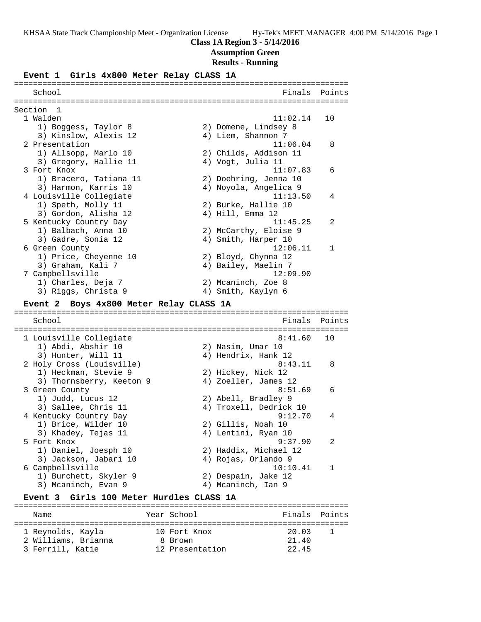#### **Class 1A Region 3 - 5/14/2016**

### **Assumption Green**

#### **Results - Running**

#### **Event 1 Girls 4x800 Meter Relay CLASS 1A**

======================================================================= School **Finals** Points ======================================================================= Section 1 1 Walden 11:02.14 10 1) Boggess, Taylor 8 2) Domene, Lindsey 8 3) Kinslow, Alexis 12 (4) Liem, Shannon 7 2 Presentation 11:06.04 8 1) Allsopp, Marlo 10 2) Childs, Addison 11 3) Gregory, Hallie 11 (4) Vogt, Julia 11 3 Fort Knox 11:07.83 6 1) Bracero, Tatiana 11 2) Doehring, Jenna 10 3) Harmon, Karris 10 4) Noyola, Angelica 9 4 Louisville Collegiate 11:13.50 4 1) Speth, Molly 11 2) Burke, Hallie 10 3) Gordon, Alisha 12 (4) Hill, Emma 12 5 Kentucky Country Day 11:45.25 2 1) Balbach, Anna 10 2) McCarthy, Eloise 9 3) Gadre, Sonia 12 (4) Smith, Harper 10 6 Green County 12:06.11 1 1) Price, Cheyenne 10 2) Bloyd, Chynna 12 3) Graham, Kali 7 (4) Bailey, Maelin 7 7 Campbellsville 12:09.90 1) Charles, Deja 7 2) Mcaninch, Zoe 8 3) Riggs, Christa 9 4) Smith, Kaylyn 6 **Event 2 Boys 4x800 Meter Relay CLASS 1A** ======================================================================= School **Finals** Points ======================================================================= 1 Louisville Collegiate 8:41.60 10 1) Abdi, Abshir 10 2) Nasim, Umar 10 3) Hunter, Will 11 4) Hendrix, Hank 12 2 Holy Cross (Louisville) 8:43.11 8 1) Heckman, Stevie 9 2) Hickey, Nick 12 3) Thornsberry, Keeton 9 (4) Zoeller, James 12 3 Green County 6:51.69 6 1) Judd, Lucus 12 2) Abell, Bradley 9 3) Sallee, Chris 11 4) Troxell, Dedrick 10 4 Kentucky Country Day 9:12.70 4 1) Brice, Wilder 10 2) Gillis, Noah 10 3) Khadey, Tejas 11 (4) Lentini, Ryan 10 5 Fort Knox 9:37.90 2 1) Daniel, Joesph 10 2) Haddix, Michael 12 3) Jackson, Jabari 10 (4) Rojas, Orlando 9 6 Campbellsville 10:10.41 1 1) Burchett, Skyler 9 2) Despain, Jake 12 3) Mcaninch, Evan 9 (4) Mcaninch, Ian 9 **Event 3 Girls 100 Meter Hurdles CLASS 1A**

#### ======================================================================= Name Year School ======================================================================= 1 Reynolds, Kayla 10 Fort Knox 20.03 1 2 Williams, Brianna 8 Brown 21.40 3 Ferrill, Katie 12 Presentation 22.45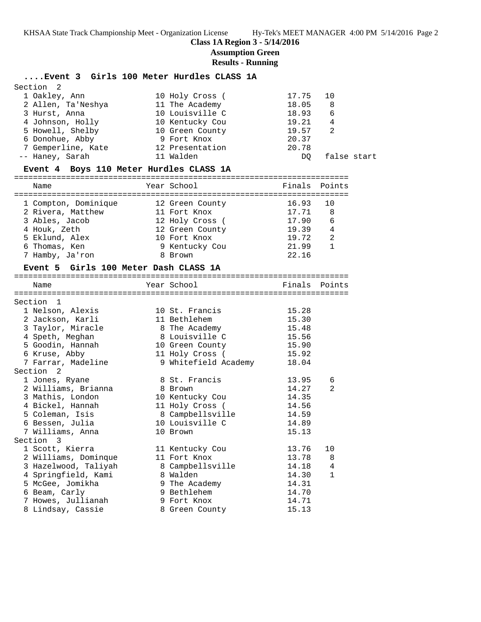#### **Class 1A Region 3 - 5/14/2016**

**Assumption Green**

### **Results - Running**

#### **....Event 3 Girls 100 Meter Hurdles CLASS 1A**

| Section 2          |                 |       |     |             |  |
|--------------------|-----------------|-------|-----|-------------|--|
| 1 Oakley, Ann      | 10 Holy Cross ( | 17.75 |     | 10          |  |
| 2 Allen, Ta'Neshya | 11 The Academy  | 18.05 |     | 8           |  |
| 3 Hurst, Anna      | 10 Louisville C | 18.93 |     | 6           |  |
| 4 Johnson, Holly   | 10 Kentucky Cou | 19.21 |     | 4           |  |
| 5 Howell, Shelby   | 10 Green County | 19.57 |     | 2           |  |
| 6 Donohue, Abby    | 9 Fort Knox     | 20.37 |     |             |  |
| 7 Gemperline, Kate | 12 Presentation | 20.78 |     |             |  |
| -- Haney, Sarah    | 11 Walden       |       | DO. | false start |  |

#### **Event 4 Boys 110 Meter Hurdles CLASS 1A**

| Name                 | Year School     | Finals Points |                |
|----------------------|-----------------|---------------|----------------|
| 1 Compton, Dominique | 12 Green County | 16.93         | 1 N            |
| 2 Rivera, Matthew    | 11 Fort Knox    | 17.71         | -8             |
| 3 Ables, Jacob       | 12 Holy Cross ( | 17.90         | - 6            |
| 4 Houk, Zeth         | 12 Green County | 19.39         | 4              |
| 5 Eklund, Alex       | 10 Fort Knox    | 19.72         | $\mathfrak{D}$ |
| 6 Thomas, Ken        | 9 Kentucky Cou  | 21.99         |                |
| 7 Hamby, Ja'ron      | 8 Brown         | 22.16         |                |
|                      |                 |               |                |

#### **Event 5 Girls 100 Meter Dash CLASS 1A**

| Name                 | Year School          | Finals | Points         |
|----------------------|----------------------|--------|----------------|
|                      |                      |        |                |
| Section 1            |                      |        |                |
| 1 Nelson, Alexis     | 10 St. Francis       | 15.28  |                |
| 2 Jackson, Karli     | 11 Bethlehem         | 15.30  |                |
| 3 Taylor, Miracle    | 8 The Academy        | 15.48  |                |
| 4 Speth, Meghan      | 8 Louisville C       | 15.56  |                |
| 5 Goodin, Hannah     | 10 Green County      | 15.90  |                |
| 6 Kruse, Abby        | 11 Holy Cross (      | 15.92  |                |
| 7 Farrar, Madeline   | 9 Whitefield Academy | 18.04  |                |
| Section <sub>2</sub> |                      |        |                |
| 1 Jones, Ryane       | 8 St. Francis        | 13.95  | 6              |
| 2 Williams, Brianna  | 8 Brown              | 14.27  | $\overline{2}$ |
| 3 Mathis, London     | 10 Kentucky Cou      | 14.35  |                |
| 4 Bickel, Hannah     | 11 Holy Cross (      | 14.56  |                |
| 5 Coleman, Isis      | 8 Campbellsville     | 14.59  |                |
| 6 Bessen, Julia      | 10 Louisville C      | 14.89  |                |
| 7 Williams, Anna     | 10 Brown             | 15.13  |                |
| Section 3            |                      |        |                |
| 1 Scott, Kierra      | 11 Kentucky Cou      | 13.76  | 10             |
| 2 Williams, Dominque | 11 Fort Knox         | 13.78  | 8              |
| 3 Hazelwood, Taliyah | 8 Campbellsville     | 14.18  | 4              |
| 4 Springfield, Kami  | 8 Walden             | 14.30  | $\mathbf{1}$   |
| 5 McGee, Jomikha     | 9 The Academy        | 14.31  |                |
| 6 Beam, Carly        | 9 Bethlehem          | 14.70  |                |
| 7 Howes, Jullianah   | 9 Fort Knox          | 14.71  |                |
| 8 Lindsay, Cassie    | 8 Green County       | 15.13  |                |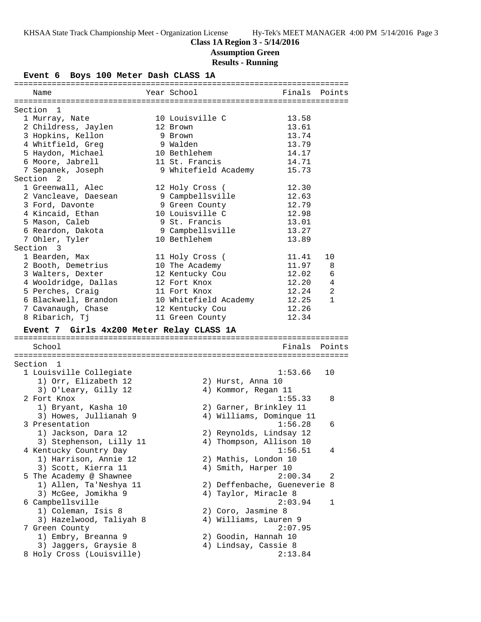## **Class 1A Region 3 - 5/14/2016**

# **Assumption Green**

| Event 6 Boys 100 Meter Dash CLASS 1A     |                          |                              |                |                |
|------------------------------------------|--------------------------|------------------------------|----------------|----------------|
| Name                                     | Year School              |                              | Finals Points  |                |
|                                          |                          |                              |                |                |
| Section<br>1                             | 10 Louisville C          |                              |                |                |
| 1 Murray, Nate                           |                          |                              | 13.58          |                |
| 2 Childress, Jaylen                      | 12 Brown                 |                              | 13.61<br>13.74 |                |
| 3 Hopkins, Kellon                        | 9 Brown                  |                              | 13.79          |                |
| 4 Whitfield, Greg<br>5 Haydon, Michael   | 9 Walden<br>10 Bethlehem |                              | 14.17          |                |
|                                          | 11 St. Francis           |                              | 14.71          |                |
| 6 Moore, Jabrell<br>7 Sepanek, Joseph    | 9 Whitefield Academy     |                              | 15.73          |                |
| Section 2                                |                          |                              |                |                |
| 1 Greenwall, Alec                        | 12 Holy Cross (          |                              | 12.30          |                |
| 2 Vancleave, Daesean                     | 9 Campbellsville         |                              | 12.63          |                |
| 3 Ford, Davonte                          | 9 Green County           |                              | 12.79          |                |
| 4 Kincaid, Ethan                         | 10 Louisville C          |                              | 12.98          |                |
| 5 Mason, Caleb                           | 9 St. Francis            |                              | 13.01          |                |
| 6 Reardon, Dakota                        | 9 Campbellsville         |                              | 13.27          |                |
| 7 Ohler, Tyler                           | 10 Bethlehem             |                              | 13.89          |                |
| Section 3                                |                          |                              |                |                |
| 1 Bearden, Max                           | 11 Holy Cross (          |                              | 11.41          | 10             |
| 2 Booth, Demetrius                       | 10 The Academy           |                              | 11.97          | 8              |
| 3 Walters, Dexter                        | 12 Kentucky Cou          |                              | 12.02          | 6              |
| 4 Wooldridge, Dallas                     | 12 Fort Knox             |                              | 12.20          | 4              |
| 5 Perches, Craig                         | 11 Fort Knox             |                              | 12.24          | $\overline{2}$ |
| 6 Blackwell, Brandon                     | 10 Whitefield Academy    |                              | 12.25          | $\mathbf{1}$   |
| 7 Cavanaugh, Chase                       | 12 Kentucky Cou          |                              | 12.26          |                |
| 8 Ribarich, Tj                           | 11 Green County          |                              | 12.34          |                |
| Event 7 Girls 4x200 Meter Relay CLASS 1A |                          |                              |                |                |
| School                                   |                          |                              | Finals         | Points         |
|                                          |                          |                              |                |                |
| Section<br>1                             |                          |                              |                |                |
| 1 Louisville Collegiate                  |                          |                              | 1:53.66        | 10             |
| 1) Orr, Elizabeth 12                     |                          | 2) Hurst, Anna 10            |                |                |
| 3) O'Leary, Gilly 12                     |                          | 4) Kommor, Regan 11          |                |                |
| 2 Fort Knox                              |                          |                              | 1:55.33        | 8              |
| 1) Bryant, Kasha 10                      |                          | 2) Garner, Brinkley 11       |                |                |
| 3) Howes, Jullianah 9                    |                          | 4) Williams, Dominque 11     |                |                |
| 3 Presentation                           |                          |                              | 1:56.28        | 6              |
| 1) Jackson, Dara 12                      |                          | 2) Reynolds, Lindsay 12      |                |                |
| 3) Stephenson, Lilly 11                  |                          | 4) Thompson, Allison 10      |                |                |
| 4 Kentucky Country Day                   |                          |                              | 1:56.51        | 4              |
| 1) Harrison, Annie 12                    |                          | 2) Mathis, London 10         |                |                |
| 3) Scott, Kierra 11                      |                          | 4) Smith, Harper 10          |                |                |
| 5 The Academy @ Shawnee                  |                          |                              | 2:00.34        | 2              |
| 1) Allen, Ta'Neshya 11                   |                          | 2) Deffenbache, Gueneverie 8 |                |                |
| 3) McGee, Jomikha 9                      |                          | 4) Taylor, Miracle 8         |                |                |
| 6 Campbellsville                         |                          |                              | 2:03.94        | 1              |
| 1) Coleman, Isis 8                       |                          | 2) Coro, Jasmine 8           |                |                |
| 3) Hazelwood, Taliyah 8                  |                          | 4) Williams, Lauren 9        |                |                |
| 7 Green County                           |                          |                              | 2:07.95        |                |
| 1) Embry, Breanna 9                      |                          | 2) Goodin, Hannah 10         |                |                |
| 3) Jaggers, Graysie 8                    |                          | 4) Lindsay, Cassie 8         |                |                |
| 8 Holy Cross (Louisville)                |                          |                              | 2:13.84        |                |
|                                          |                          |                              |                |                |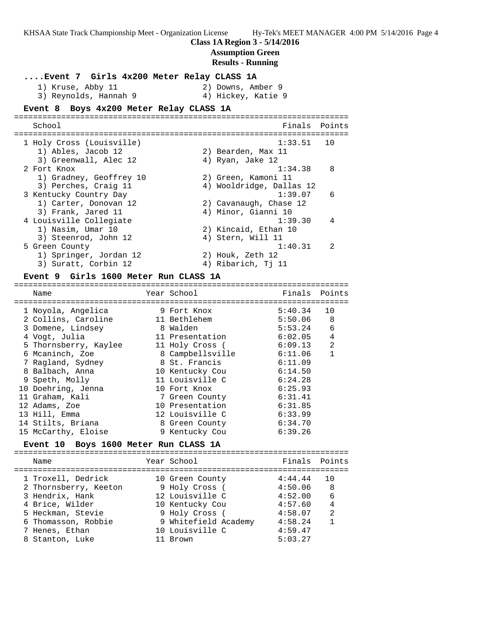**Class 1A Region 3 - 5/14/2016**

#### **Assumption Green**

#### **Results - Running**

**....Event 7 Girls 4x200 Meter Relay CLASS 1A**

 1) Kruse, Abby 11 2) Downs, Amber 9 3) Reynolds, Hannah 9 1940 Mars 4) Hickey, Katie 9

#### **Event 8 Boys 4x200 Meter Relay CLASS 1A**

======================================================================= School Finals Points ======================================================================= 1 Holy Cross (Louisville) 1:33.51 10 1) Ables, Jacob 12 2) Bearden, Max 11 3) Greenwall, Alec 12 (4) Ryan, Jake 12 2 Fort Knox 1:34.38 8 1) Gradney, Geoffrey 10 2) Green, Kamoni 11 3) Perches, Craig 11 (4) Wooldridge, Dallas 12 3 Kentucky Country Day 1:39.07 6 1) Carter, Donovan 12 2) Cavanaugh, Chase 12 3) Frank, Jared 11 4) Minor, Gianni 10 4 Louisville Collegiate 1:39.30 4 1) Nasim, Umar 10 2) Kincaid, Ethan 10 3) Steenrod, John 12 (4) Stern, Will 11 5 Green County 1:40.31 2 1) Springer, Jordan 12 2) Houk, Zeth 12 3) Suratt, Corbin 12 (4) Ribarich, Tj 11

#### **Event 9 Girls 1600 Meter Run CLASS 1A**

Name The School Team School (Finals Points ======================================================================= 1 Noyola, Angelica 9 Fort Knox 5:40.34 10 2 Collins, Caroline 11 Bethlehem 5:50.06 8 3 Domene, Lindsey 8 Walden 5:53.24 6 4 Vogt, Julia 11 Presentation 6:02.05 4 5 Thornsberry, Kaylee 11 Holy Cross ( 6:09.13 2 6 Mcaninch, Zoe 8 Campbellsville 6:11.06 1 7 Ragland, Sydney 8 St. Francis 6:11.09 8 Balbach, Anna 10 Kentucky Cou 6:14.50 9 Speth, Molly 11 Louisville C 6:24.28 10 Doehring, Jenna 10 Fort Knox 6:25.93 11 Graham, Kali 7 Green County 6:31.41 12 Adams, Zoe 10 Presentation 6:31.85 13 Hill, Emma 12 Louisville C 6:33.99 14 Stilts, Briana 8 Green County 6:34.70 15 McCarthy, Eloise 9 Kentucky Cou 6:39.26

=======================================================================

#### **Event 10 Boys 1600 Meter Run CLASS 1A**

======================================================================= Name The Year School The Finals Points ======================================================================= 1 Troxell, Dedrick 10 Green County 4:44.44 10 2 Thornsberry, Keeton 9 Holy Cross ( 4:50.06 8 3 Hendrix, Hank 12 Louisville C 4:52.00 6 4 Brice, Wilder 10 Kentucky Cou 4:57.60 4 5 Heckman, Stevie 9 Holy Cross ( 4:58.07 2 6 Thomasson, Robbie 9 Whitefield Academy 4:58.24 1 7 Henes, Ethan 10 Louisville C 4:59.47 8 Stanton, Luke 11 Brown 5:03.27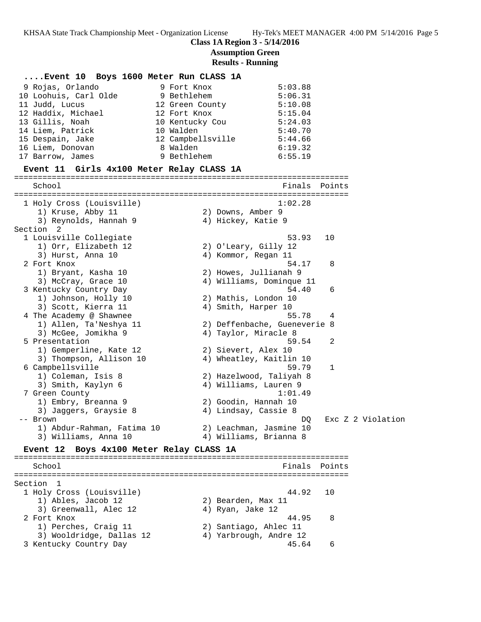**Class 1A Region 3 - 5/14/2016**

| Event 10 Boys 1600 Meter Run CLASS 1A<br>5:03.88<br>5:06.31<br>5:10.08<br>12 Green County<br>5:15.04<br>10 Kentucky Cou<br>5:24.03<br>5:40.70<br>12 Campbellsville<br>5:44.66<br>6:19.32<br>6:55.19<br>Girls 4x100 Meter Relay CLASS 1A<br>Finals<br>1:02.28<br>2) Downs, Amber 9 | Points                                        |                      |
|-----------------------------------------------------------------------------------------------------------------------------------------------------------------------------------------------------------------------------------------------------------------------------------|-----------------------------------------------|----------------------|
|                                                                                                                                                                                                                                                                                   |                                               |                      |
|                                                                                                                                                                                                                                                                                   |                                               |                      |
|                                                                                                                                                                                                                                                                                   |                                               |                      |
|                                                                                                                                                                                                                                                                                   |                                               |                      |
|                                                                                                                                                                                                                                                                                   |                                               |                      |
|                                                                                                                                                                                                                                                                                   |                                               |                      |
|                                                                                                                                                                                                                                                                                   |                                               |                      |
|                                                                                                                                                                                                                                                                                   |                                               |                      |
|                                                                                                                                                                                                                                                                                   |                                               |                      |
|                                                                                                                                                                                                                                                                                   |                                               |                      |
|                                                                                                                                                                                                                                                                                   |                                               |                      |
|                                                                                                                                                                                                                                                                                   |                                               |                      |
|                                                                                                                                                                                                                                                                                   |                                               |                      |
| 4) Hickey, Katie 9                                                                                                                                                                                                                                                                |                                               |                      |
|                                                                                                                                                                                                                                                                                   |                                               |                      |
| 53.93                                                                                                                                                                                                                                                                             | 10                                            |                      |
| 2) O'Leary, Gilly 12                                                                                                                                                                                                                                                              |                                               |                      |
| 4) Kommor, Regan 11                                                                                                                                                                                                                                                               |                                               |                      |
| 54.17                                                                                                                                                                                                                                                                             | 8                                             |                      |
| 2) Howes, Jullianah 9                                                                                                                                                                                                                                                             |                                               |                      |
| 4) Williams, Dominque 11<br>54.40                                                                                                                                                                                                                                                 | 6                                             |                      |
| 2) Mathis, London 10                                                                                                                                                                                                                                                              |                                               |                      |
| 4) Smith, Harper 10                                                                                                                                                                                                                                                               |                                               |                      |
| 55.78                                                                                                                                                                                                                                                                             | 4                                             |                      |
| 2) Deffenbache, Gueneverie 8                                                                                                                                                                                                                                                      |                                               |                      |
| 4) Taylor, Miracle 8                                                                                                                                                                                                                                                              |                                               |                      |
| 59.54                                                                                                                                                                                                                                                                             | 2                                             |                      |
| 2) Sievert, Alex 10                                                                                                                                                                                                                                                               |                                               |                      |
| 4) Wheatley, Kaitlin 10                                                                                                                                                                                                                                                           |                                               |                      |
| 59.79                                                                                                                                                                                                                                                                             | $\mathbf{1}$                                  |                      |
|                                                                                                                                                                                                                                                                                   |                                               |                      |
| 2) Hazelwood, Taliyah 8                                                                                                                                                                                                                                                           |                                               |                      |
|                                                                                                                                                                                                                                                                                   |                                               |                      |
| 1:01.49                                                                                                                                                                                                                                                                           |                                               |                      |
|                                                                                                                                                                                                                                                                                   |                                               |                      |
|                                                                                                                                                                                                                                                                                   |                                               | Exc Z 2 Violation    |
| DQ<br>2) Leachman, Jasmine 10                                                                                                                                                                                                                                                     |                                               |                      |
|                                                                                                                                                                                                                                                                                   | 4) Williams, Lauren 9<br>2) Goodin, Hannah 10 | 4) Lindsay, Cassie 8 |

School **Finals Points** ======================================================================= Section 1 1 Holy Cross (Louisville) 44.92 10 1) Ables, Jacob 12 2) Bearden, Max 11 3) Greenwall, Alec 12 (4) Ryan, Jake 12 2 Fort Knox 44.95 8 1) Perches, Craig 11 2) Santiago, Ahlec 11 3) Wooldridge, Dallas 12 4) Yarbrough, Andre 12 3 Kentucky Country Day 45.64 6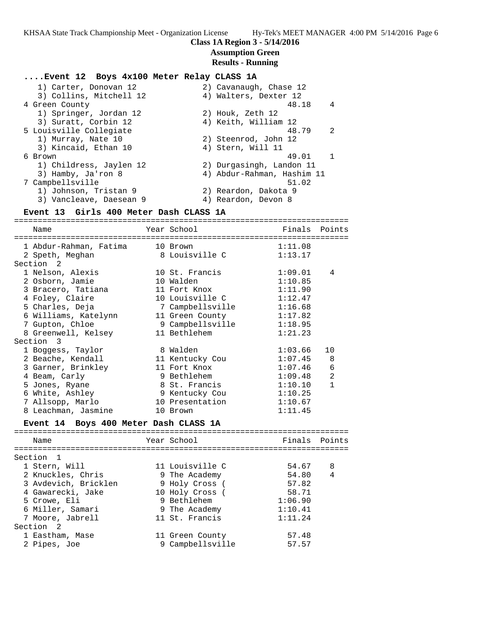#### **Class 1A Region 3 - 5/14/2016**

### **Assumption Green**

#### **Results - Running**

#### **....Event 12 Boys 4x100 Meter Relay CLASS 1A**

| 1) Carter, Donovan 12   | 2) Cavanaugh, Chase 12     |
|-------------------------|----------------------------|
| 3) Collins, Mitchell 12 | 4) Walters, Dexter 12      |
| 4 Green County          | 48.18<br>4                 |
| 1) Springer, Jordan 12  | 2) Houk, Zeth 12           |
| 3) Suratt, Corbin 12    | 4) Keith, William 12       |
| 5 Louisville Collegiate | 48.79<br>$\mathcal{L}$     |
| 1) Murray, Nate 10      | 2) Steenrod, John 12       |
| 3) Kincaid, Ethan 10    | 4) Stern, Will 11          |
| 6 Brown                 | 49.01                      |
| 1) Childress, Jaylen 12 | 2) Durgasingh, Landon 11   |
| 3) Hamby, Ja'ron 8      | 4) Abdur-Rahman, Hashim 11 |
| 7 Campbellsville        | 51.02                      |
| 1) Johnson, Tristan 9   | 2) Reardon, Dakota 9       |
| 3) Vancleave, Daesean 9 | 4) Reardon, Devon 8        |

#### **Event 13 Girls 400 Meter Dash CLASS 1A**

======================================================================= Name The Year School The Finals Points ======================================================================= 1 Abdur-Rahman, Fatima 10 Brown 1:11.08 2 Speth, Meghan 8 Louisville C 1:13.17 Section 2 1 Nelson, Alexis 10 St. Francis 1:09.01 4 2 Osborn, Jamie 10 Walden 1:10.85 3 Bracero, Tatiana 11 Fort Knox 1:11.90 4 Foley, Claire 10 Louisville C 1:12.47 5 Charles, Deja 7 Campbellsville 1:16.68 6 Williams, Katelynn 11 Green County 1:17.82 7 Gupton, Chloe 9 Campbellsville 1:18.95 8 Greenwell, Kelsey 11 Bethlehem 1:21.23 Section 3 1 Boggess, Taylor 8 Walden 1:03.66 10 2 Beache, Kendall 11 Kentucky Cou 1:07.45 8 3 Garner, Brinkley 11 Fort Knox 1:07.46 6 4 Beam, Carly 9 Bethlehem 1:09.48 2 5 Jones, Ryane 8 St. Francis 1:10.10 1 6 White, Ashley 9 Kentucky Cou 1:10.25 7 Allsopp, Marlo 10 Presentation 1:10.67 8 Leachman, Jasmine 10 Brown 1:11.45 **Event 14 Boys 400 Meter Dash CLASS 1A**

#### =======================================================================

| Name                 | Year School      | Finals Points |                |
|----------------------|------------------|---------------|----------------|
| Section 1            |                  |               |                |
| 1 Stern, Will        | 11 Louisville C  | 54.67         | 8              |
| 2 Knuckles, Chris    | 9 The Academy    | 54.80         | $\overline{4}$ |
| 3 Avdevich, Bricklen | 9 Holy Cross (   | 57.82         |                |
| 4 Gawarecki, Jake    | 10 Holy Cross (  | 58.71         |                |
| 5 Crowe, Eli         | 9 Bethlehem      | 1:06.90       |                |
| 6 Miller, Samari     | 9 The Academy    | 1:10.41       |                |
| 7 Moore, Jabrell     | 11 St. Francis   | 1:11.24       |                |
| Section <sub>2</sub> |                  |               |                |
| 1 Eastham, Mase      | 11 Green County  | 57.48         |                |
| 2 Pipes, Joe         | 9 Campbellsville | 57.57         |                |
|                      |                  |               |                |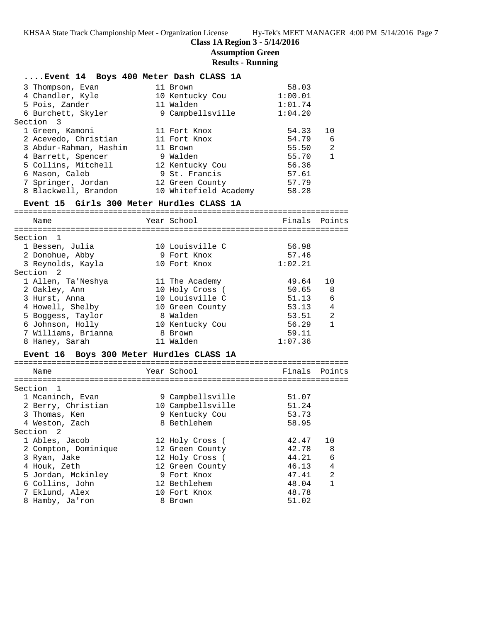## **Class 1A Region 3 - 5/14/2016**

# **Assumption Green**

| Event 14 Boys 400 Meter Dash CLASS 1A     |                                                  |                |                |
|-------------------------------------------|--------------------------------------------------|----------------|----------------|
| 3 Thompson, Evan                          | 11 Brown                                         | 58.03          |                |
| 4 Chandler, Kyle                          | 10 Kentucky Cou                                  | 1:00.01        |                |
| 5 Pois, Zander                            | 11 Walden                                        | 1:01.74        |                |
| 6 Burchett, Skyler                        | 9 Campbellsville                                 | 1:04.20        |                |
| Section 3                                 |                                                  |                |                |
| 1 Green, Kamoni                           | 11 Fort Knox                                     | 54.33          | 10             |
| 2 Acevedo, Christian                      | 11 Fort Knox                                     | 54.79          | 6              |
| 3 Abdur-Rahman, Hashim                    | 11 Brown                                         | 55.50          | 2              |
| 4 Barrett, Spencer                        | 9 Walden                                         | 55.70          | $\mathbf{1}$   |
| 5 Collins, Mitchell                       | 12 Kentucky Cou                                  | 56.36          |                |
| 6 Mason, Caleb                            | 9 St. Francis                                    | 57.61          |                |
| 7 Springer, Jordan                        | 12 Green County                                  | 57.79          |                |
|                                           | 8 Blackwell, Brandon 10 Whitefield Academy 58.28 |                |                |
| Event 15 Girls 300 Meter Hurdles CLASS 1A |                                                  |                |                |
| Name                                      | Year School                                      | Finals Points  |                |
| Section 1                                 |                                                  |                |                |
| 1 Bessen, Julia                           | 10 Louisville C                                  | 56.98          |                |
| 2 Donohue, Abby                           | 9 Fort Knox                                      | 57.46          |                |
| 3 Reynolds, Kayla                         | 10 Fort Knox                                     | 1:02.21        |                |
| Section 2                                 |                                                  |                |                |
| 1 Allen, Ta'Neshya                        | 11 The Academy                                   | 49.64          | 10             |
| 2 Oakley, Ann                             | 10 Holy Cross (                                  | 50.65          | 8              |
| 3 Hurst, Anna                             | 10 Louisville C                                  | 51.13          | 6              |
| 4 Howell, Shelby                          | 10 Green County                                  | 53.13          | $\overline{4}$ |
| 5 Boggess, Taylor                         | 8 Walden                                         | 53.51          | 2              |
| 6 Johnson, Holly                          | 10 Kentucky Cou                                  | 56.29          | $\mathbf{1}$   |
| 7 Williams, Brianna                       | 8 Brown                                          | 59.11          |                |
| 8 Haney, Sarah                            | 11 Walden                                        | 1:07.36        |                |
| Event 16 Boys 300 Meter Hurdles CLASS 1A  |                                                  |                |                |
| Name                                      | Year School                                      | Finals Points  |                |
|                                           |                                                  |                |                |
| Section 1                                 |                                                  |                |                |
| 1 Mcaninch, Evan                          | 9 Campbellsville                                 | 51.07          |                |
| 2 Berry, Christian                        | 10 Campbellsville<br>9 Kentucky Cou              | 51.24<br>53.73 |                |
| 3 Thomas, Ken<br>4 Weston, Zach           | 8 Bethlehem                                      | 58.95          |                |
| Section<br>2                              |                                                  |                |                |
| 1 Ables, Jacob                            | 12 Holy Cross (                                  | 42.47          | 10             |
| 2 Compton, Dominique                      | 12 Green County                                  | 42.78          | 8              |
| 3 Ryan, Jake                              | 12 Holy Cross (                                  | 44.21          | 6              |
| 4 Houk, Zeth                              | 12 Green County                                  | 46.13          | 4              |
| 5 Jordan, Mckinley                        | 9 Fort Knox                                      | 47.41          | 2              |
| 6 Collins, John                           | 12 Bethlehem                                     | 48.04          | 1              |
| 7 Eklund, Alex                            | 10 Fort Knox                                     | 48.78          |                |
| 8 Hamby, Ja'ron                           | 8 Brown                                          | 51.02          |                |
|                                           |                                                  |                |                |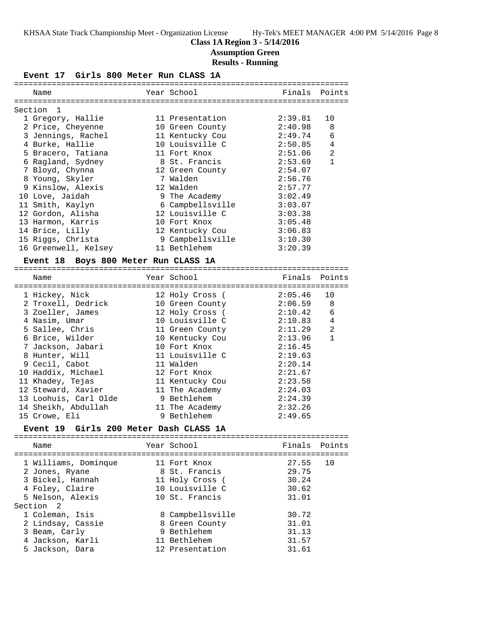### **Class 1A Region 3 - 5/14/2016**

## **Assumption Green**

### **Results - Running**

#### **Event 17 Girls 800 Meter Run CLASS 1A**

| Name                      |  | Year School      | Finals  | Points         |  |  |  |
|---------------------------|--|------------------|---------|----------------|--|--|--|
|                           |  |                  |         |                |  |  |  |
| Section<br>$\overline{1}$ |  |                  |         |                |  |  |  |
| 1 Gregory, Hallie         |  | 11 Presentation  | 2:39.81 | 10             |  |  |  |
| 2 Price, Cheyenne         |  | 10 Green County  | 2:40.98 | 8              |  |  |  |
| 3 Jennings, Rachel        |  | 11 Kentucky Cou  | 2:49.74 | 6              |  |  |  |
| 4 Burke, Hallie           |  | 10 Louisville C  | 2:50.85 | $\overline{4}$ |  |  |  |
| 5 Bracero, Tatiana        |  | 11 Fort Knox     | 2:51.06 | $\overline{2}$ |  |  |  |
| 6 Ragland, Sydney         |  | 8 St. Francis    | 2:53.69 | $\mathbf{1}$   |  |  |  |
| 7 Bloyd, Chynna           |  | 12 Green County  | 2:54.07 |                |  |  |  |
| 8 Young, Skyler           |  | 7 Walden         | 2:56.76 |                |  |  |  |
| 9 Kinslow, Alexis         |  | 12 Walden        | 2:57.77 |                |  |  |  |
| 10 Love, Jaidah           |  | 9 The Academy    | 3:02.49 |                |  |  |  |
| 11 Smith, Kaylyn          |  | 6 Campbellsville | 3:03.07 |                |  |  |  |
| 12 Gordon, Alisha         |  | 12 Louisville C  | 3:03.38 |                |  |  |  |
| 13 Harmon, Karris         |  | 10 Fort Knox     | 3:05.48 |                |  |  |  |
| 14 Brice, Lilly           |  | 12 Kentucky Cou  | 3:06.83 |                |  |  |  |
| 15 Riggs, Christa         |  | 9 Campbellsville | 3:10.30 |                |  |  |  |
| 16 Greenwell, Kelsey      |  | 11 Bethlehem     | 3:20.39 |                |  |  |  |

# **Event 18 Boys 800 Meter Run CLASS 1A**

| Name                  | Year School     | Finals Points |                |
|-----------------------|-----------------|---------------|----------------|
| 1 Hickey, Nick        | 12 Holy Cross ( | 2:05.46       | 10             |
| 2 Troxell, Dedrick    | 10 Green County | 2:06.59       | - 8            |
| 3 Zoeller, James      | 12 Holy Cross ( | 2:10.42       | 6              |
| 4 Nasim, Umar         | 10 Louisville C | 2:10.83       | $\overline{4}$ |
| 5 Sallee, Chris       | 11 Green County | 2:11.29       | 2              |
| 6 Brice, Wilder       | 10 Kentucky Cou | 2:13.96       | $\mathbf{1}$   |
| 7 Jackson, Jabari     | 10 Fort Knox    | 2:16.45       |                |
| 8 Hunter, Will        | 11 Louisville C | 2:19.63       |                |
| 9 Cecil, Cabot        | 11 Walden       | 2:20.14       |                |
| 10 Haddix, Michael    | 12 Fort Knox    | 2:21.67       |                |
| 11 Khadey, Tejas      | 11 Kentucky Cou | 2:23.58       |                |
| 12 Steward, Xavier    | 11 The Academy  | 2:24.03       |                |
| 13 Loohuis, Carl Olde | 9 Bethlehem     | 2:24.39       |                |
| 14 Sheikh, Abdullah   | 11 The Academy  | 2:32.26       |                |
| 15 Crowe, Eli         | 9 Bethlehem     | 2:49.65       |                |

#### **Event 19 Girls 200 Meter Dash CLASS 1A**

=======================================================================

| Name                 | Year School      | Finals Points |  |
|----------------------|------------------|---------------|--|
| 1 Williams, Dominque | 11 Fort Knox     | 27.55 10      |  |
| 2 Jones, Ryane       | 8 St. Francis    | 29.75         |  |
| 3 Bickel, Hannah     | 11 Holy Cross (  | 30.24         |  |
| 4 Foley, Claire      | 10 Louisville C  | 30.62         |  |
| 5 Nelson, Alexis     | 10 St. Francis   | 31.01         |  |
| Section 2            |                  |               |  |
| 1 Coleman, Isis      | 8 Campbellsville | 30.72         |  |
| 2 Lindsay, Cassie    | 8 Green County   | 31.01         |  |
| 3 Beam, Carly        | 9 Bethlehem      | 31.13         |  |
| 4 Jackson, Karli     | 11 Bethlehem     | 31.57         |  |
| 5 Jackson, Dara      | 12 Presentation  | 31.61         |  |
|                      |                  |               |  |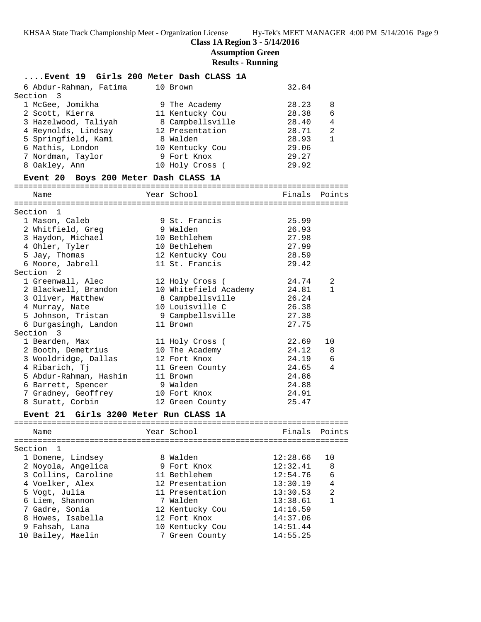# **Class 1A Region 3 - 5/14/2016**

**Assumption Green**

|                     | Event 19 Girls 200 Meter Dash CLASS 1A |                       |          |                |
|---------------------|----------------------------------------|-----------------------|----------|----------------|
|                     | 6 Abdur-Rahman, Fatima                 | 10 Brown              | 32.84    |                |
|                     | Section 3                              |                       |          |                |
|                     | 1 McGee, Jomikha                       | 9 The Academy         | 28.23    | 8              |
|                     | 2 Scott, Kierra                        | 11 Kentucky Cou       | 28.38    | 6              |
|                     | 3 Hazelwood, Taliyah                   | 8 Campbellsville      | 28.40    | 4              |
|                     | 4 Reynolds, Lindsay                    | 12 Presentation       | 28.71    | 2              |
|                     | 5 Springfield, Kami                    | 8 Walden              | 28.93    | $\mathbf{1}$   |
|                     | 6 Mathis, London                       | 10 Kentucky Cou       | 29.06    |                |
|                     | 7 Nordman, Taylor                      | 9 Fort Knox           | 29.27    |                |
|                     | 8 Oakley, Ann                          | 10 Holy Cross (       | 29.92    |                |
|                     | Event 20 Boys 200 Meter Dash CLASS 1A  |                       |          |                |
|                     | Name                                   | Year School           | Finals   | Points         |
|                     |                                        |                       |          |                |
|                     | Section 1                              |                       |          |                |
|                     | 1 Mason, Caleb                         | 9 St. Francis         | 25.99    |                |
|                     | 2 Whitfield, Greg                      | 9 Walden              | 26.93    |                |
|                     | 3 Haydon, Michael                      | 10 Bethlehem          | 27.98    |                |
|                     | 4 Ohler, Tyler                         | 10 Bethlehem          | 27.99    |                |
|                     | 5 Jay, Thomas                          | 12 Kentucky Cou       | 28.59    |                |
|                     | 6 Moore, Jabrell                       | 11 St. Francis        | 29.42    |                |
|                     | Section 2                              |                       |          |                |
|                     | 1 Greenwall, Alec                      | 12 Holy Cross (       | 24.74    | 2              |
|                     | 2 Blackwell, Brandon                   | 10 Whitefield Academy | 24.81    | 1              |
|                     | 3 Oliver, Matthew                      | 8 Campbellsville      | 26.24    |                |
|                     | 4 Murray, Nate                         | 10 Louisville C       | 26.38    |                |
|                     | 5 Johnson, Tristan                     | 9 Campbellsville      | 27.38    |                |
|                     | 6 Durgasingh, Landon                   | 11 Brown              | 27.75    |                |
|                     | Section 3                              |                       |          |                |
|                     | 1 Bearden, Max                         | 11 Holy Cross (       | 22.69    | 10             |
|                     | 2 Booth, Demetrius                     | 10 The Academy        | 24.12    | 8              |
|                     | 3 Wooldridge, Dallas                   | 12 Fort Knox          | 24.19    | 6              |
|                     | 4 Ribarich, Tj                         | 11 Green County       | 24.65    | 4              |
|                     | 5 Abdur-Rahman, Hashim                 | 11 Brown              | 24.86    |                |
|                     | 6 Barrett, Spencer                     | 9 Walden              | 24.88    |                |
|                     | 7 Gradney, Geoffrey                    | 10 Fort Knox          | 24.91    |                |
|                     | 8 Suratt, Corbin                       | 12 Green County       | 25.47    |                |
|                     | Event 21 Girls 3200 Meter Run CLASS 1A |                       |          |                |
|                     | Name                                   | Year School           | Finals   | Points         |
| $=$ $=$ $=$ $=$ $=$ |                                        |                       |          |                |
|                     | Section<br>1                           |                       |          |                |
|                     | 1 Domene, Lindsey                      | 8 Walden              | 12:28.66 | 10             |
|                     | 2 Noyola, Angelica                     | 9 Fort Knox           | 12:32.41 | 8              |
|                     | 3 Collins, Caroline                    | 11 Bethlehem          | 12:54.76 | 6              |
|                     | 4 Voelker, Alex                        | 12 Presentation       | 13:30.19 | 4              |
|                     | 5 Vogt, Julia                          | 11 Presentation       | 13:30.53 | $\overline{a}$ |
|                     | 6 Liem, Shannon                        | 7 Walden              | 13:38.61 | $\mathbf{1}$   |
|                     |                                        |                       |          |                |
|                     | 7 Gadre, Sonia                         | 12 Kentucky Cou       | 14:16.59 |                |
|                     | 8 Howes, Isabella                      | 12 Fort Knox          | 14:37.06 |                |
|                     | 9 Fahsah, Lana                         | 10 Kentucky Cou       | 14:51.44 |                |
|                     | 10 Bailey, Maelin                      | 7 Green County        | 14:55.25 |                |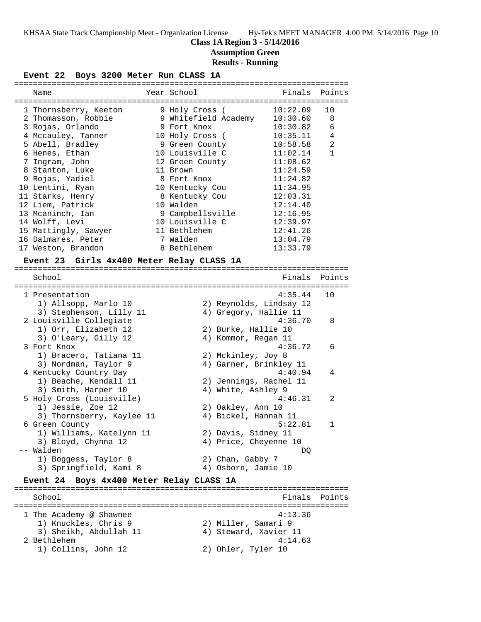## **Class 1A Region 3 - 5/14/2016**

**Assumption Green**

| Event 22 Boys 3200 Meter Run CLASS 1A               |                         |          |                |
|-----------------------------------------------------|-------------------------|----------|----------------|
| Name                                                | Year School             | Finals   | Points         |
|                                                     |                         |          |                |
| 1 Thornsberry, Keeton                               | 9 Holy Cross (          | 10:22.09 | 10             |
| 2 Thomasson, Robbie                                 | 9 Whitefield Academy    | 10:30.60 | 8              |
| 3 Rojas, Orlando                                    | 9 Fort Knox             | 10:30.82 | 6              |
| 4 Mccauley, Tanner                                  | 10 Holy Cross (         | 10:35.11 | 4              |
| 5 Abell, Bradley                                    | 9 Green County          | 10:58.58 | $\overline{2}$ |
| 6 Henes, Ethan                                      | 10 Louisville C         | 11:02.14 | 1              |
| 7 Ingram, John                                      | 12 Green County         | 11:08.62 |                |
| 8 Stanton, Luke                                     | 11 Brown                | 11:24.59 |                |
| 9 Rojas, Yadiel                                     | 8 Fort Knox             | 11:24.82 |                |
| 10 Lentini, Ryan                                    | 10 Kentucky Cou         | 11:34.95 |                |
| 11 Starks, Henry                                    | 8 Kentucky Cou          | 12:03.31 |                |
| 12 Liem, Patrick                                    | 10 Walden               | 12:14.40 |                |
| 13 Mcaninch, Ian                                    | 9 Campbellsville        | 12:16.95 |                |
| 14 Wolff, Levi                                      | 10 Louisville C         | 12:39.97 |                |
| 15 Mattingly, Sawyer                                | 11 Bethlehem            | 12:41.26 |                |
| 16 Dalmares, Peter                                  | 7 Walden                | 13:04.79 |                |
| 17 Weston, Brandon                                  | 8 Bethlehem             | 13:33.79 |                |
|                                                     |                         |          |                |
| Girls 4x400 Meter Relay CLASS 1A<br><b>Event 23</b> |                         |          |                |
| School                                              |                         | Finals   | Points         |
|                                                     |                         |          |                |
| 1 Presentation                                      |                         | 4:35.44  | 10             |
| 1) Allsopp, Marlo 10                                | 2) Reynolds, Lindsay 12 |          |                |
| 3) Stephenson, Lilly 11                             | 4) Gregory, Hallie 11   |          |                |
| 2 Louisville Collegiate                             |                         | 4:36.70  | 8              |
| 1) Orr, Elizabeth 12                                | 2) Burke, Hallie 10     |          |                |
| 3) O'Leary, Gilly 12                                | 4) Kommor, Regan 11     |          |                |
| 3 Fort Knox                                         |                         | 4:36.72  | 6              |
| 1) Bracero, Tatiana 11                              | 2) Mckinley, Joy 8      |          |                |
| 3) Nordman, Taylor 9                                | 4) Garner, Brinkley 11  |          |                |
| 4 Kentucky Country Day                              |                         | 4:40.94  | 4              |
| 1) Beache, Kendall 11                               | 2) Jennings, Rachel 11  |          |                |
| 3) Smith, Harper 10                                 | 4) White, Ashley 9      |          |                |
| 5 Holy Cross (Louisville)                           |                         | 4:46.31  | 2              |
| 1) Jessie, Zoe 12                                   | 2) Oakley, Ann 10       |          |                |
| 3) Thornsberry, Kaylee 11                           | 4) Bickel, Hannah 11    |          |                |
| 6 Green County                                      |                         | 5:22.81  | T              |
| 1) Williams, Katelynn 11                            | 2) Davis, Sidney 11     |          |                |
| 3) Bloyd, Chynna 12                                 | 4) Price, Cheyenne 10   |          |                |
| -- Walden                                           |                         | DQ       |                |
| 1) Boggess, Taylor 8                                | 2) Chan, Gabby 7        |          |                |
| 3) Springfield, Kami 8                              | 4) Osborn, Jamie 10     |          |                |
| Boys 4x400 Meter Relay CLASS 1A<br><b>Event 24</b>  |                         |          |                |
|                                                     |                         |          |                |
| School                                              |                         | Finals   | Points         |
|                                                     |                         |          |                |
| 1 The Academy @ Shawnee                             |                         | 4:13.36  |                |
| 1) Knuckles, Chris 9                                | 2) Miller, Samari 9     |          |                |
| 3) Sheikh, Abdullah 11<br>2 Bethlehem               | 4) Steward, Xavier 11   |          |                |
|                                                     |                         | 4:14.63  |                |
| 1) Collins, John 12                                 | 2) Ohler, Tyler 10      |          |                |